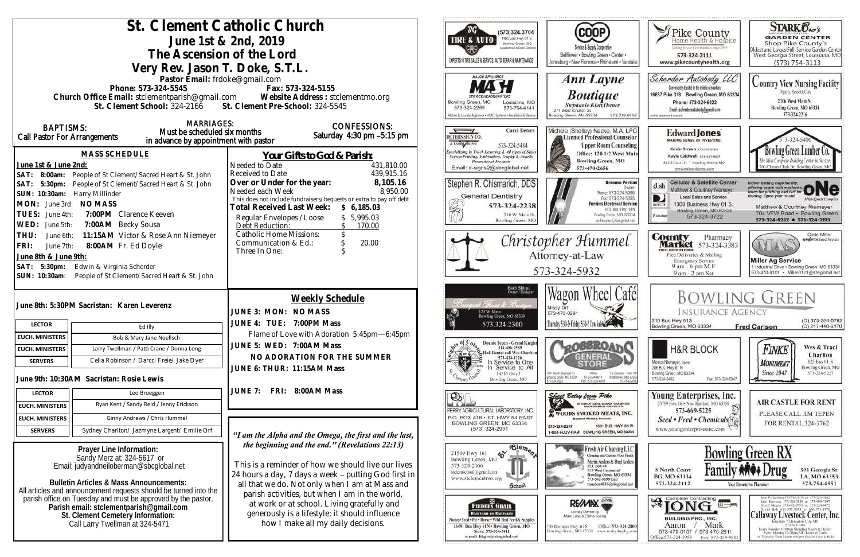| St. Clement Catholic Church<br>June 1st & 2nd, 2019<br>The Ascension of the Lord<br>Very Rev. Jason T. Doke, S.T.L.                                                                                                                                                                                                                                                                                                                                                            |                                                                                      |                                                                                                                                                                                                                                                                                                                                                                                                          | DG `<br>(573)324 3704<br>1400 Bus. Hwy 61 S.<br><b>TIRE &amp; AUTO</b><br>Bowling Green, MO<br>sport next to Dallar General<br>EXPERTS IN TIRE SALES & SERVICE, AUTO REPAIR & MAINTENANCE                                                                                                                                                                                                                                  | <b>COOP</b><br>Service & Supply Cooperative<br>Bellflower . Bowling Green . Center .<br>Jonesburg . New Florence . Rhineland . Vandalia                                                                                                                                                                                                                                         | Fike County<br>Certag for our Communities street 1969<br>573-324-2111<br>www.pikecountyhealth.org                                                                                                             | <b>STARK Oxo's</b><br><b>GARDEN CENTER</b><br>Shop Pike County's<br>Oldest and LargestFull-Service Garden Center<br>West Georgia Street, Louisiana, MO<br>$(573) 754 - 3113$                                                                                                                                                                                                                                                                                                                                                             |
|--------------------------------------------------------------------------------------------------------------------------------------------------------------------------------------------------------------------------------------------------------------------------------------------------------------------------------------------------------------------------------------------------------------------------------------------------------------------------------|--------------------------------------------------------------------------------------|----------------------------------------------------------------------------------------------------------------------------------------------------------------------------------------------------------------------------------------------------------------------------------------------------------------------------------------------------------------------------------------------------------|----------------------------------------------------------------------------------------------------------------------------------------------------------------------------------------------------------------------------------------------------------------------------------------------------------------------------------------------------------------------------------------------------------------------------|---------------------------------------------------------------------------------------------------------------------------------------------------------------------------------------------------------------------------------------------------------------------------------------------------------------------------------------------------------------------------------|---------------------------------------------------------------------------------------------------------------------------------------------------------------------------------------------------------------|------------------------------------------------------------------------------------------------------------------------------------------------------------------------------------------------------------------------------------------------------------------------------------------------------------------------------------------------------------------------------------------------------------------------------------------------------------------------------------------------------------------------------------------|
| Pastor Email: frdoke@gmail.com<br>Phone: 573-324-5545<br>Fax: 573-324-5155<br>Church Office Email: stclementparish@gmail.com Website Address : stclementmo.org<br>St. Clement School: 324-2166 St. Clement Pre-School: 324-5545                                                                                                                                                                                                                                                |                                                                                      |                                                                                                                                                                                                                                                                                                                                                                                                          | <b>MAJOR APPLIANCE</b><br>Bowling Green, MO<br>Louisiana, MO<br>573-324-2259<br>573-754-4141<br>Kilchen & Laundry Appliance . HVAC Systems . Installation & Service                                                                                                                                                                                                                                                        | Ann Layne<br><b>Boutique</b><br>Stephanie Klott, Owner<br>211 West Church St.<br>Bowling Green, Mo 63334<br>573-719-9108                                                                                                                                                                                                                                                        | Scherder Autobody LLC<br>Conveniently located in the middle of nowhere<br>16637 Pike 318 Bowling Green, MO 63334<br>Phone: 573+324+6023<br>Email: scherderautobody@gmail.com<br>bill for directions if needed | <b>Country View Nursing Facility</b><br>Dignity, Respect, Care<br>2106 West Main St.<br>Bowling Green, MO 63334<br>573-324-2216                                                                                                                                                                                                                                                                                                                                                                                                          |
| <b>MARRIAGES:</b><br><b>BAPTISMS:</b><br>Must be scheduled six months<br>Call Pastor For Arrangements<br>in advance by appointment with pastor<br><b>MASS SCHEDULE</b><br>June 1st & June 2nd:<br>SAT: 8:00am: People of St Clement/Sacred Heart & St. John<br>SAT: 5:30pm: People of St Clement/Sacred Heart & St. John<br>SUN: 10:30am: Harry Millinder<br>MON: June 3rd: NO MASS<br>TUES:<br>7:00PM Clarence Keeven<br>June 4th:<br>7:00AM Becky Sousa<br>WED:<br>June 5th: |                                                                                      | <b>CONFESSIONS:</b><br>Saturday 4:30 pm -5:15 pm<br>Your Gifts to God & Parish:<br>Needed to Date<br>431,810.00<br>439,915.16<br>Received to Date                                                                                                                                                                                                                                                        | <b>Carol Deters</b><br>DETERS SIGN CO.<br>A LSHING SHOPPE<br>573-324-5484<br>Specializing in Truck Lettering & All types of Signs<br>Screen Printing, Embroidery, Trophy & Awards<br><b>Promotional Products</b><br>Email: d-signs2@sbcglobal.net                                                                                                                                                                          | Michele (Shelley) Nacke, M.A. LPC<br>Licensed Professional Counselor<br><b>Upper Room Counseling</b><br>Office: 120 1/2 West Main<br><b>Bowling Green, MO</b><br>573-470-2656                                                                                                                                                                                                   | Edward Jones<br><b>MAKING SENSE OF INVESTING</b><br>Kevin Brown 573-324-6604<br>Kayla Caldwell 573-324-6604<br>822 S Court St * Bowling Green, MO<br>www.edwardjones.com                                      | Bowling Green Lumber Co.<br>700 Champ Clark Dr. Bowling Green, M                                                                                                                                                                                                                                                                                                                                                                                                                                                                         |
|                                                                                                                                                                                                                                                                                                                                                                                                                                                                                |                                                                                      | 8,105.16<br>Over or Under for the year:<br>8,950.00<br>Needed each Week<br>This does not include fundraisers/bequests or extra to pay off debt<br>Total Received Last Week:<br>\$6,185.03<br>\$5,995.03<br>Regular Envelopes / Loose<br>Debt Reduction:<br>170.00                                                                                                                                        | Stephen R. Chismarich, DDS<br><b>General Dentistry</b><br>X<br>573-324-2238<br>310 W. Main St<br>Bowling Green, MC                                                                                                                                                                                                                                                                                                         | <b>Brennen Perkins</b><br><b>Dwner</b><br>Phone: 573-324-5366<br>Fax: 573-324-5355<br><b>Perkins Electrical Service</b><br>819 Bus. Hwy. 61N<br>Bowling Green, MO. 63334<br>perkinselec@shoclobal.net                                                                                                                                                                           | <b>Cellular &amp; Satellite Center</b><br>d sh<br>Matthew & Courtney Niemeyer<br>Local Sales and Service<br>1300 Business Hwy 61 S.<br>DIRECTY<br>Bowling Green, MO 63334<br><b>Piatokie</b><br>573-324-3722  | Indoor batting cage facility.<br>offering cages with machines ONC<br>lelding. Open year round.<br><b>Milti-Sports Complex</b><br>Matthew & Courtney Niemeyer<br>704 VFW Road · Bowling Green<br>573-324-8282 0 573-324-2193                                                                                                                                                                                                                                                                                                              |
| 11:15AM Victor & Rose Ann Niemeyer<br>THU:<br>June 6th:<br>8:00AM Fr. Ed Doyle<br>FRI:<br>June 7th:<br>June 8th & June 9th:<br>SAT: 5:30pm:<br>Edwin & Virginia Scherder<br>SUN: 10:30am:<br>People of St Clement/Sacred Heart & St. John                                                                                                                                                                                                                                      |                                                                                      | <b>Catholic Home Missions:</b><br>Christopher Hummel<br>20.00<br>Communication & Ed.:<br>Three In One:<br>Attorney-at-Law<br>573-324-5932                                                                                                                                                                                                                                                                |                                                                                                                                                                                                                                                                                                                                                                                                                            | <b>County</b> Pharmacy<br><b>Market</b> 573-324-3383<br>ITTAL BISCOUNT FOODS<br>Free Deliveries & Mailing<br><b>Emergency Service</b><br>9 am - 6 pm M-F<br>9 am - 2 pm Sat                                                                                                                                                                                                     | Clete Miller<br>syngenta Sood Advisor<br>AYLAY<br><b>Miller Ag Service</b><br>1 Industrial Drive . Bowling Green, MO 63334<br>573-470-0101 · Miller0121@sbcglobal.net                                         |                                                                                                                                                                                                                                                                                                                                                                                                                                                                                                                                          |
| June 8th: 5:30PM Sacristan: Karen Leverenz<br><b>LECTOR</b><br>Ed Illy                                                                                                                                                                                                                                                                                                                                                                                                         |                                                                                      | Weekly Schedule<br>JUNE 3: MON: NO MASS<br>JUNE 4: TUE: 7:00PM Mass                                                                                                                                                                                                                                                                                                                                      | Barb Shinn<br>Owner/Designe<br>t. Finansis de Brussia<br>120 W. Main<br>Bowling Green, MO 63334<br>573.324.2300                                                                                                                                                                                                                                                                                                            | Wagon Wheel Café<br>Missy Orf<br>573-470-0291<br>Thusday 5:30-2 Friday 5:30-2 Con Sales 3                                                                                                                                                                                                                                                                                       | <b>INSURANCE AGENCY</b><br>310 Bus Hwy 61S<br>Bowling Green, MO 63334                                                                                                                                         | <b>BOWLING GREEN</b><br>(O) 573-324-5762<br>(C) 217-440-6170<br><b>Fred Carlson</b>                                                                                                                                                                                                                                                                                                                                                                                                                                                      |
| <b>EUCH. MINISTERS</b>                                                                                                                                                                                                                                                                                                                                                                                                                                                         | Bob & Mary Jane Noellsch                                                             | Flame of Love with Adoration 5:45pm-6:45pm                                                                                                                                                                                                                                                                                                                                                               |                                                                                                                                                                                                                                                                                                                                                                                                                            |                                                                                                                                                                                                                                                                                                                                                                                 |                                                                                                                                                                                                               |                                                                                                                                                                                                                                                                                                                                                                                                                                                                                                                                          |
| <b>EUCH. MINISTERS</b>                                                                                                                                                                                                                                                                                                                                                                                                                                                         | Larry Twellman / Patti Crane / Donna Long                                            | JUNE 5: WED: 7:00AM Mass                                                                                                                                                                                                                                                                                                                                                                                 | Donnie Tepen - Grand Knight<br>314-486-2989                                                                                                                                                                                                                                                                                                                                                                                | <b>QOBBROAT</b>                                                                                                                                                                                                                                                                                                                                                                 | <b>H&amp;R BLOCK</b>                                                                                                                                                                                          | Wes & Traci<br>Finke                                                                                                                                                                                                                                                                                                                                                                                                                                                                                                                     |
| <b>SERVERS</b>                                                                                                                                                                                                                                                                                                                                                                                                                                                                 | Celia Robinson / Darcci Freie/ Jake Dyer<br>June 9th: 10:30AM Sacristan: Rosie Lewis | NO ADORATION FOR THE SUMMER<br>JUNE 6: THUR: 11:15AM Mass                                                                                                                                                                                                                                                                                                                                                | $x \times x$ or $C$<br>2. Hall Rental call Wes Charlton<br>573-424-1126<br>्क्ष<br>Service to One<br>Service to All<br>14516 Hwy J<br>Bowling Green, MO                                                                                                                                                                                                                                                                    | <b>GENERAL</b><br>1001 South Business 61<br>Office<br>110 Johnson - Hwy 9<br>573-324-6811<br>Middietown, MO 6339<br>Bowlinig Green, MD 63334<br>573-549-20<br>Fax: 573-324-6811                                                                                                                                                                                                 | Monica Niemeyer, Owser<br>206 Bus. Hwy 61 N<br>Bowling Green, MO 63334<br>Fax: 573-324-5047<br>573-324-3402                                                                                                   | Charlton<br>825 Bus 61 N<br><b>MONUMENT</b><br>Bowling Green, MO<br><b>Since 1947</b><br>573-324-5227                                                                                                                                                                                                                                                                                                                                                                                                                                    |
| <b>LECTOR</b>                                                                                                                                                                                                                                                                                                                                                                                                                                                                  | Leo Brueggen                                                                         | FRI: 8:00AM Mass<br>JUNE 7:                                                                                                                                                                                                                                                                                                                                                                              |                                                                                                                                                                                                                                                                                                                                                                                                                            |                                                                                                                                                                                                                                                                                                                                                                                 | Young Enterprises, Inc.                                                                                                                                                                                       |                                                                                                                                                                                                                                                                                                                                                                                                                                                                                                                                          |
| <b>EUCH. MINISTERS</b>                                                                                                                                                                                                                                                                                                                                                                                                                                                         | Ryan Kent / Sandy Reid / Jenny Erickson                                              |                                                                                                                                                                                                                                                                                                                                                                                                          | $\mathcal{P}_\mathbb{R}$                                                                                                                                                                                                                                                                                                                                                                                                   | Sincer Betsy from Pike<br><b>INTERNATIONAL GRAND CHAMPION</b>                                                                                                                                                                                                                                                                                                                   | 25759 Hwy 161 . New Hartford, MO 63359                                                                                                                                                                        | <b>AIR CASTLE FOR RENT</b>                                                                                                                                                                                                                                                                                                                                                                                                                                                                                                               |
| <b>EUCH. MINISTERS</b>                                                                                                                                                                                                                                                                                                                                                                                                                                                         | Ginny Andrews / Chris Hummel                                                         |                                                                                                                                                                                                                                                                                                                                                                                                          | PERRY AGRICULTURAL LABORATORY, INC.<br>P.O. BOX 418 . ST. HWY 54 EAST                                                                                                                                                                                                                                                                                                                                                      | WOODS SMOKED MEATS, INC.<br><b>Edward Woods, President</b>                                                                                                                                                                                                                                                                                                                      | 573-669-5225<br>Seed • Feed • Chemicals <sup>[4]</sup>                                                                                                                                                        | PLEASE CALL JIM TEPEN<br>FOR RENTAL 324-3762                                                                                                                                                                                                                                                                                                                                                                                                                                                                                             |
| <b>SERVERS</b>                                                                                                                                                                                                                                                                                                                                                                                                                                                                 | Sydney Charlton/ Jazmyne Largent/ Emilie Orf                                         | "I am the Alpha and the Omega, the first and the last,                                                                                                                                                                                                                                                                                                                                                   | BOWLING GREEN, MO 63334<br>$(573)$ 324-2931                                                                                                                                                                                                                                                                                                                                                                                | 1501 BUS, HWY, 54 W.<br>573-324-2247<br>1-800-I-LUV-HAM BOWLING GREEN, MO 63334                                                                                                                                                                                                                                                                                                 | www.youngenterprisesinc.com                                                                                                                                                                                   |                                                                                                                                                                                                                                                                                                                                                                                                                                                                                                                                          |
| Prayer Line Information:<br>Sandy Merz at: 324-5617 or<br>Email: judyandneiloberman@sbcglobal.net<br><b>Bulletin Articles &amp; Mass Announcements:</b><br>All articles and announcement requests should be turned into the<br>parish office on Tuesday and must be approved by the pastor<br>Parish email: stclementparish@gmail.com<br>St. Clement Cemetery Information:<br>Call Larry Twellman at 324-5471                                                                  |                                                                                      | the beginning and the end." (Revelations 22:13)<br>This is a reminder of how we should live our lives<br>24 hours a day, 7 days a week - putting God first in<br>all that we do. Not only when I am at Mass and<br>parish activities, but when I am in the world,<br>at work or at school. Living gratefully and<br>generously is a lifestyle; it should influence<br>how I make all my daily decisions. | $\overline{\text{e}_{\text{e}_{m}}^{\text{1}}\text{e}_{n}}$<br>$\mathfrak{S}$ .<br>21509 Hwy 161<br>Bowling Green, MO<br>573-324-2166<br>stelemschool@gmail.com<br>www.stclementmo.org<br><b>School</b><br>. BB<br><b>FEEDERS GRAIN</b><br>ВАСКУЛЯВ ТО ВЛЕНУАКО-<br>Finneer Seed + Pet + Horse + Wild Hird Feed & Supplies<br>16491 Bus Hwy 61N . Bowling Green, MO<br>Store: 573-324-5411<br>e-mail: fdsgrn@sbcglobal.net | Fresh Air Cleaning LLC<br>Cleaning and Custom Floor Finish<br>Martin Anders & Brad Anders<br>P.O. Box 44<br><b>315 West Centennial</b><br>Bowling Green, MO 63334<br>573-592-9899 Cell<br>nanders4036@sbcglobal.net<br>RE/MIX<br>Locally Owned by<br>Mark Lang & Elisha Koenig<br>Office: 573-324-2800<br>30 Business Hwy. 61 S<br>Bowling Green, MO 63334 www.realtyshopbg.com | 8 North Court<br>BG, MO 63334<br>573-324-2112<br><b>A Complete Contracting</b><br><b>BUILDING PRO., INC.</b><br>Mark<br>Aaron<br>573-470-0157 / 573-470-2911<br>Office:573-324-5958<br>Fax: 573-324-980.      | <b>Bowling Green RX</b><br>301 Georgia St.<br>LA, MO 63353<br>573-754-4551<br>Your Hometown Pharmacy<br>John P. Harrison 573-386-5150 or 573-220-1482<br>Jack Hurrison 573-386-2138 or 573-959-7197<br>David Means 573-642-9753 st 573-220-0472<br>David Bell 816-527-5633 or 660-721-1370<br>Callaway Livestock Center, Inc.<br>terstate 70, Kingdoni City, MO<br>573-642-7486<br>Every Monitay 10:00am Sloughter Steers & Heilers<br>Every Merakov 12:30pm All Classes of Cattle<br>at Thursday Each Month 6:00pm Special Cow & Bulls. |